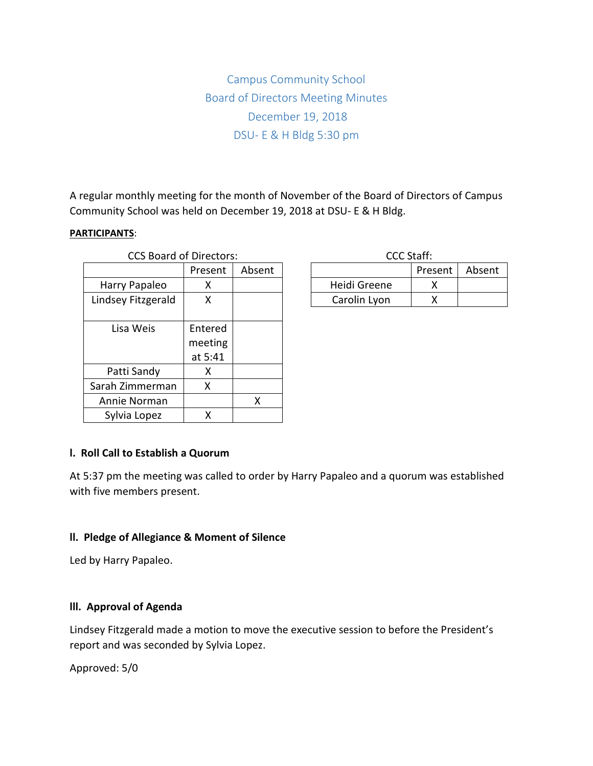Campus Community School Board of Directors Meeting Minutes December 19, 2018 DSU- E & H Bldg 5:30 pm

A regular monthly meeting for the month of November of the Board of Directors of Campus Community School was held on December 19, 2018 at DSU- E & H Bldg.

#### **PARTICIPANTS**:

| <b>CCS Board of Directors:</b> |           |        | CCC Staff:   |      |
|--------------------------------|-----------|--------|--------------|------|
|                                | Present   | Absent |              | Pres |
| Harry Papaleo                  | x         |        | Heidi Greene | )    |
| Lindsey Fitzgerald             | x         |        | Carolin Lyon | 冫    |
|                                |           |        |              |      |
| Lisa Weis                      | Entered   |        |              |      |
|                                | meeting   |        |              |      |
|                                | at $5:41$ |        |              |      |
| Patti Sandy                    | x         |        |              |      |
| Sarah Zimmerman                | x         |        |              |      |
| Annie Norman                   |           | X      |              |      |
| Sylvia Lopez                   | X         |        |              |      |

| CCC Staff:   |         |        |  |  |  |  |
|--------------|---------|--------|--|--|--|--|
|              | Present | Absent |  |  |  |  |
| Heidi Greene |         |        |  |  |  |  |
| Carolin Lyon |         |        |  |  |  |  |

### **l. Roll Call to Establish a Quorum**

At 5:37 pm the meeting was called to order by Harry Papaleo and a quorum was established with five members present.

### **ll. Pledge of Allegiance & Moment of Silence**

Led by Harry Papaleo.

### **lll. Approval of Agenda**

Lindsey Fitzgerald made a motion to move the executive session to before the President's report and was seconded by Sylvia Lopez.

Approved: 5/0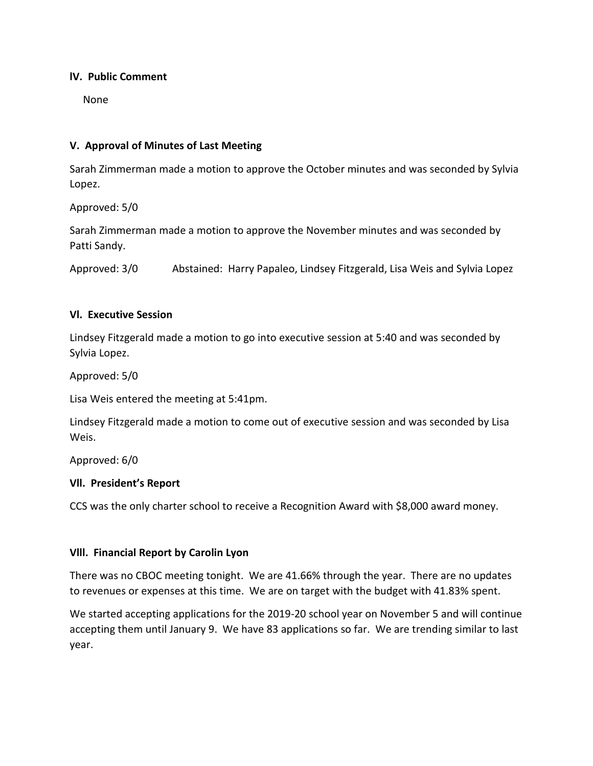### **lV. Public Comment**

None

# **V. Approval of Minutes of Last Meeting**

Sarah Zimmerman made a motion to approve the October minutes and was seconded by Sylvia Lopez.

Approved: 5/0

Sarah Zimmerman made a motion to approve the November minutes and was seconded by Patti Sandy.

Approved: 3/0 Abstained: Harry Papaleo, Lindsey Fitzgerald, Lisa Weis and Sylvia Lopez

### **Vl. Executive Session**

Lindsey Fitzgerald made a motion to go into executive session at 5:40 and was seconded by Sylvia Lopez.

Approved: 5/0

Lisa Weis entered the meeting at 5:41pm.

Lindsey Fitzgerald made a motion to come out of executive session and was seconded by Lisa Weis.

Approved: 6/0

# **Vll. President's Report**

CCS was the only charter school to receive a Recognition Award with \$8,000 award money.

### **Vlll. Financial Report by Carolin Lyon**

There was no CBOC meeting tonight. We are 41.66% through the year. There are no updates to revenues or expenses at this time. We are on target with the budget with 41.83% spent.

We started accepting applications for the 2019-20 school year on November 5 and will continue accepting them until January 9. We have 83 applications so far. We are trending similar to last year.